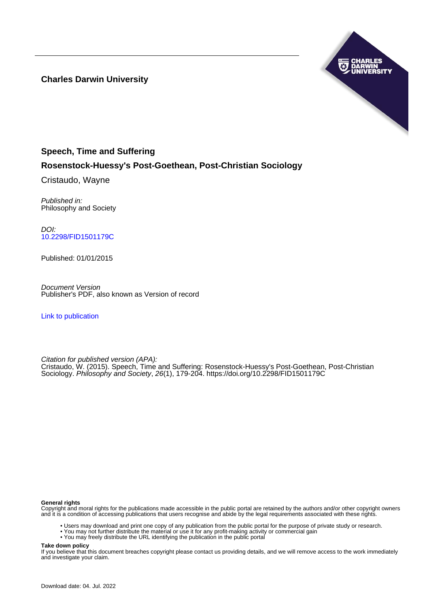**Charles Darwin University**



# **Speech, Time and Suffering Rosenstock-Huessy's Post-Goethean, Post-Christian Sociology**

Cristaudo, Wayne

Published in: Philosophy and Society

DOI: [10.2298/FID1501179C](https://doi.org/10.2298/FID1501179C)

Published: 01/01/2015

Document Version Publisher's PDF, also known as Version of record

[Link to publication](https://researchers.cdu.edu.au/en/publications/2197acd1-206c-4f48-b9bb-65b751625ab2)

Citation for published version (APA): Cristaudo, W. (2015). Speech, Time and Suffering: Rosenstock-Huessy's Post-Goethean, Post-Christian Sociology. Philosophy and Society, 26(1), 179-204. <https://doi.org/10.2298/FID1501179C>

#### **General rights**

Copyright and moral rights for the publications made accessible in the public portal are retained by the authors and/or other copyright owners and it is a condition of accessing publications that users recognise and abide by the legal requirements associated with these rights.

- Users may download and print one copy of any publication from the public portal for the purpose of private study or research.
- You may not further distribute the material or use it for any profit-making activity or commercial gain
- You may freely distribute the URL identifying the publication in the public portal

**Take down policy**

If you believe that this document breaches copyright please contact us providing details, and we will remove access to the work immediately and investigate your claim.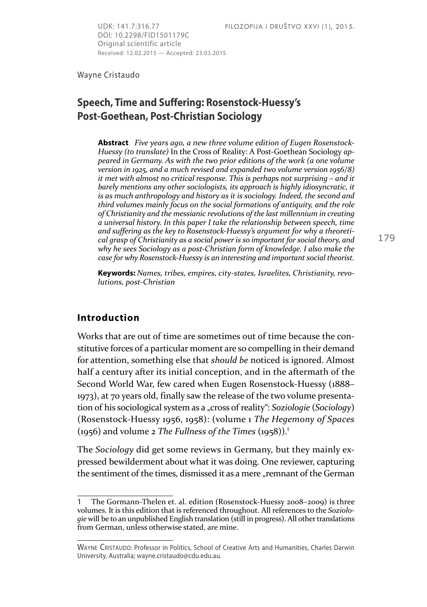DOI: 10.2298/FID1501179C Original scientific article Received: 12.02.2015 — Accepted: 23.03.2015

Wayne Cristaudo

## **Speech, Time and Suffering: Rosenstock-Huessy's Post-Goethean, Post-Christian Sociology**

**Abstract** *Five years ago, a new three volume edition of Eugen Rosenstock-Huessy (to translate)* In the Cross of Reality: A Post-Goethean Sociology *appeared in Germany. As with the two prior editions of the work (a one volume version in 1925, and a much revised and expanded two volume version 1956/8) it met with almost no critical response. This is perhaps not surprising – and it barely mentions any other sociologists, its approach is highly idiosyncratic, it is as much anthropology and history as it is sociology. Indeed, the second and third volumes mainly focus on the social formations of antiquity, and the role of Christianity and the messianic revolutions of the last millennium in creating a universal history. In this paper I take the relationship between speech, time and suffering as the key to Rosenstock-Huessy's argument for why a theoretical grasp of Christianity as a social power is so important for social theory, and why he sees Sociology as a post-Christian form of knowledge. I also make the case for why Rosenstock-Huessy is an interesting and important social theorist.*

**Keywords:** *Names, tribes, empires, city-states, Israelites, Christianity, revolutions, post-Christian*

#### **Introduction**

Works that are out of time are sometimes out of time because the constitutive forces of a particular moment are so compelling in their demand for attention, something else that *should be* noticed is ignored. Almost half a century after its initial conception, and in the aftermath of the Second World War, few cared when Eugen Rosenstock-Huessy (1888– 1973), at 70 years old, finally saw the release of the two volume presentation of his sociological system as a "cross of reality": *Soziologie* (*Sociology*) (Rosenstock-Huessy 1956, 1958): (volume 1 *The Hegemony of Spaces*  (1956) and volume 2 *The Fullness of the Times* (1958)).<sup>ͱ</sup>

The *Sociology* did get some reviews in Germany, but they mainly expressed bewilderment about what it was doing. One reviewer, capturing the sentiment of the times, dismissed it as a mere "remnant of the German

<sup>1</sup> The Gormann-Thelen et. al. edition (Rosenstock-Huessy 2008–2009) is three volumes. It is this edition that is referenced throughout. All references to the *Soziologie* will be to an unpublished English translation (still in progress). All other translations from German, unless otherwise stated, are mine.

WAYNE CRISTAUDO: Professor in Politics, School of Creative Arts and Humanities, Charles Darwin University, Australia; wayne.cristaudo@cdu.edu.au.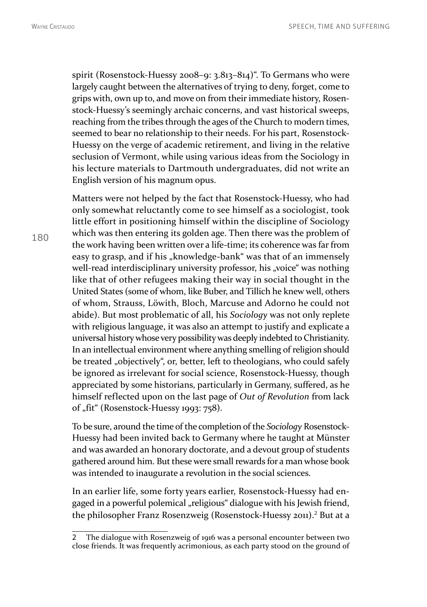180

WAYNE CRISTAUDO **SPEECH, TIME AND SUFFERING** 

spirit (Rosenstock-Huessy 2008–9:  $3.813-814$ )". To Germans who were largely caught between the alternatives of trying to deny, forget, come to grips with, own up to, and move on from their immediate history, Rosenstock-Huessy's seemingly archaic concerns, and vast historical sweeps, reaching from the tribes through the ages of the Church to modern times, seemed to bear no relationship to their needs. For his part, Rosenstock-Huessy on the verge of academic retirement, and living in the relative seclusion of Vermont, while using various ideas from the Sociology in his lecture materials to Dartmouth undergraduates, did not write an English version of his magnum opus.

Matters were not helped by the fact that Rosenstock-Huessy, who had only somewhat reluctantly come to see himself as a sociologist, took little effort in positioning himself within the discipline of Sociology which was then entering its golden age. Then there was the problem of the work having been written over a life-time; its coherence was far from easy to grasp, and if his "knowledge-bank" was that of an immensely well-read interdisciplinary university professor, his "voice" was nothing like that of other refugees making their way in social thought in the United States (some of whom, like Buber, and Tillich he knew well, others of whom, Strauss, Löwith, Bloch, Marcuse and Adorno he could not abide). But most problematic of all, his *Sociology* was not only replete with religious language, it was also an attempt to justify and explicate a universal history whose very possibility was deeply indebted to Christianity. In an intellectual environment where anything smelling of religion should be treated "objectively", or, better, left to theologians, who could safely be ignored as irrelevant for social science, Rosenstock-Huessy, though appreciated by some historians, particularly in Germany, suffered, as he himself reflected upon on the last page of *Out of Revolution* from lack of "fit" (Rosenstock-Huessy 1993: 758).

To be sure, around the time of the completion of the *Sociology* Rosenstock-Huessy had been invited back to Germany where he taught at Münster and was awarded an honorary doctorate, and a devout group of students gathered around him. But these were small rewards for a man whose book was intended to inaugurate a revolution in the social sciences.

In an earlier life, some forty years earlier, Rosenstock-Huessy had engaged in a powerful polemical "religious" dialogue with his Jewish friend, the philosopher Franz Rosenzweig (Rosenstock-Huessy 2011).<sup>2</sup> But at a

<sup>2</sup> The dialogue with Rosenzweig of 1916 was a personal encounter between two close friends. It was frequently acrimonious, as each party stood on the ground of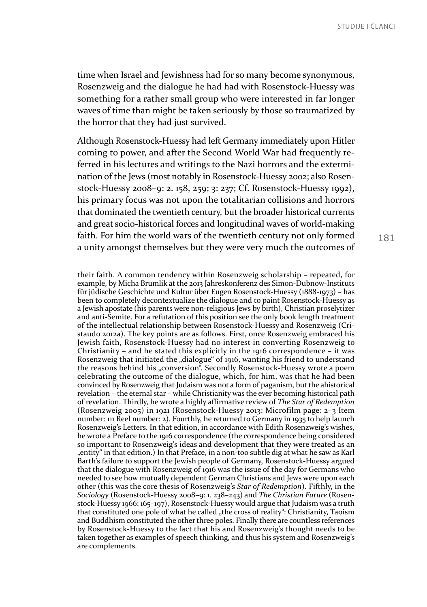time when Israel and Jewishness had for so many become synonymous, Rosenzweig and the dialogue he had had with Rosenstock-Huessy was something for a rather small group who were interested in far longer waves of time than might be taken seriously by those so traumatized by the horror that they had just survived.

Although Rosenstock-Huessy had left Germany immediately upon Hitler coming to power, and after the Second World War had frequently referred in his lectures and writings to the Nazi horrors and the extermination of the Jews (most notably in Rosenstock-Huessy 2002; also Rosenstock-Huessy 2008–9: 2. 158, 259; 3: 237; Cf. Rosenstock-Huessy 1992), his primary focus was not upon the totalitarian collisions and horrors that dominated the twentieth century, but the broader historical currents and great socio-historical forces and longitudinal waves of world-making faith. For him the world wars of the twentieth century not only formed a unity amongst themselves but they were very much the outcomes of

their faith. A common tendency within Rosenzweig scholarship – repeated, for example, by Micha Brumlik at the 2013 Jahreskonferenz des Simon-Dubnow-Instituts für jüdische Geschichte und Kultur über Eugen Rosenstock-Huessy (1888-1973) – has been to completely decontextualize the dialogue and to paint Rosenstock-Huessy as a Jewish apostate (his parents were non-religious Jews by birth), Christian proselytizer and anti-Semite. For a refutation of this position see the only book length treatment of the intellectual relationship between Rosenstock-Huessy and Rosenzweig (Cristaudo 2012a). The key points are as follows. First, once Rosenzweig embraced his Jewish faith, Rosenstock-Huessy had no interest in converting Rosenzweig to Christianity – and he stated this explicitly in the 1916 correspondence – it was Rosenzweig that initiated the "dialogue" of 1916, wanting his friend to understand the reasons behind his "conversion". Secondly Rosenstock-Huessy wrote a poem celebrating the outcome of the dialogue, which, for him, was that he had been convinced by Rosenzweig that Judaism was not a form of paganism, but the ahistorical revelation – the eternal star – while Christianity was the ever becoming historical path of revelation. Thirdly, he wrote a highly affirmative review of *The Star of Redemption* (Rosenzweig 2005) in 1921 (Rosenstock-Huessy 2013: Microfilm page: 2–3 Item number: 111 Reel number: 2). Fourthly, he returned to Germany in 1935 to help launch Rosenzweig's Letters. In that edition, in accordance with Edith Rosenzweig's wishes, he wrote a Preface to the 1916 correspondence (the correspondence being considered so important to Rosenzweig's ideas and development that they were treated as an "entity" in that edition.) In that Preface, in a non-too subtle dig at what he saw as Karl Barth's failure to support the Jewish people of Germany, Rosenstock-Huessy argued that the dialogue with Rosenzweig of 1916 was the issue of the day for Germans who needed to see how mutually dependent German Christians and Jews were upon each other (this was the core thesis of Rosenzweig's *Star of Redemption*). Fifthly, in the *Sociology* (Rosenstock-Huessy 2008–9: 1. 238–243) and *The Christian Future* (Rosenstock-Huessy 1966: 165–197), Rosenstock-Huessy would argue that Judaism was a truth that constituted one pole of what he called "the cross of reality": Christianity, Taoism and Buddhism constituted the other three poles. Finally there are countless references by Rosenstock-Huessy to the fact that his and Rosenzweig's thought needs to be taken together as examples of speech thinking, and thus his system and Rosenzweig's are complements.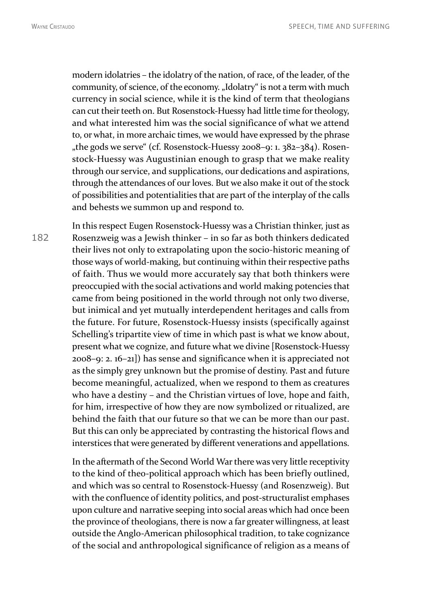modern idolatries – the idolatry of the nation, of race, of the leader, of the community, of science, of the economy. "Idolatry" is not a term with much currency in social science, while it is the kind of term that theologians can cut their teeth on. But Rosenstock-Huessy had little time for theology, and what interested him was the social significance of what we attend to, or what, in more archaic times, we would have expressed by the phrase "the gods we serve " (cf. Rosenstock-Huessy 2008–9: 1. 382–384). Rosenstock-Huessy was Augustinian enough to grasp that we make reality through our service, and supplications, our dedications and aspirations, through the attendances of our loves. But we also make it out of the stock of possibilities and potentialities that are part of the interplay of the calls and behests we summon up and respond to.

182 In this respect Eugen Rosenstock-Huessy was a Christian thinker, just as Rosenzweig was a Jewish thinker – in so far as both thinkers dedicated their lives not only to extrapolating upon the socio-historic meaning of those ways of world-making, but continuing within their respective paths of faith. Thus we would more accurately say that both thinkers were preoccupied with the social activations and world making potencies that came from being positioned in the world through not only two diverse, but inimical and yet mutually interdependent heritages and calls from the future. For future, Rosenstock-Huessy insists (specifically against Schelling's tripartite view of time in which past is what we know about, present what we cognize, and future what we divine [Rosenstock-Huessy 2008–9: 2. 16–21]) has sense and significance when it is appreciated not as the simply grey unknown but the promise of destiny. Past and future become meaningful, actualized, when we respond to them as creatures who have a destiny – and the Christian virtues of love, hope and faith, for him, irrespective of how they are now symbolized or ritualized, are behind the faith that our future so that we can be more than our past. But this can only be appreciated by contrasting the historical flows and interstices that were generated by different venerations and appellations.

> In the aftermath of the Second World War there was very little receptivity to the kind of theo-political approach which has been briefly outlined, and which was so central to Rosenstock-Huessy (and Rosenzweig). But with the confluence of identity politics, and post-structuralist emphases upon culture and narrative seeping into social areas which had once been the province of theologians, there is now a far greater willingness, at least outside the Anglo-American philosophical tradition, to take cognizance of the social and anthropological significance of religion as a means of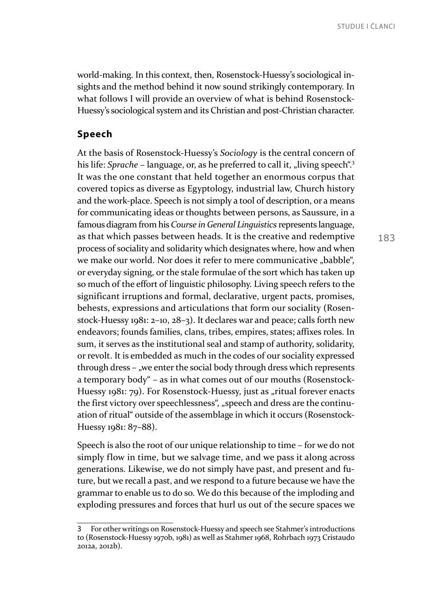world-making. In this context, then, Rosenstock-Huessy's sociological insights and the method behind it now sound strikingly contemporary. In what follows I will provide an overview of what is behind Rosenstock-Huessy's sociological system and its Christian and post-Christian character.

#### **Speech**

At the basis of Rosenstock-Huessy's *Sociology* is the central concern of his life: *Sprache* – language, or, as he preferred to call it, "living speech".<sup>3</sup> It was the one constant that held together an enormous corpus that covered topics as diverse as Egyptology, industrial law, Church history and the work-place. Speech is not simply a tool of description, or a means for communicating ideas or thoughts between persons, as Saussure, in a famous diagram from his *Course in General Linguistics* represents language, as that which passes between heads. It is the creative and redemptive process of sociality and solidarity which designates where, how and when we make our world. Nor does it refer to mere communicative "babble", or everyday signing, or the stale formulae of the sort which has taken up so much of the effort of linguistic philosophy. Living speech refers to the significant irruptions and formal, declarative, urgent pacts, promises, behests, expressions and articulations that form our sociality (Rosenstock-Huessy 1981: 2–10, 28–3). It declares war and peace; calls forth new endeavors; founds families, clans, tribes, empires, states; affixes roles. In sum, it serves as the institutional seal and stamp of authority, solidarity, or revolt. It is embedded as much in the codes of our sociality expressed through dress – "we enter the social body through dress which represents a temporary body" – as in what comes out of our mouths (Rosenstock-Huessy 1981: 79). For Rosenstock-Huessy, just as "ritual forever enacts the first victory over speechlessness", "speech and dress are the continuation of ritual" outside of the assemblage in which it occurs (Rosenstock-Huessy 1981: 87–88).

Speech is also the root of our unique relationship to time – for we do not simply flow in time, but we salvage time, and we pass it along across generations. Likewise, we do not simply have past, and present and future, but we recall a past, and we respond to a future because we have the grammar to enable us to do so. We do this because of the imploding and exploding pressures and forces that hurl us out of the secure spaces we

<sup>3</sup> For other writings on Rosenstock-Huessy and speech see Stahmer's introductions to (Rosenstock-Huessy 1970b, 1981) as well as Stahmer 1968, Rohrbach 1973 Cristaudo 2012a, 2012b).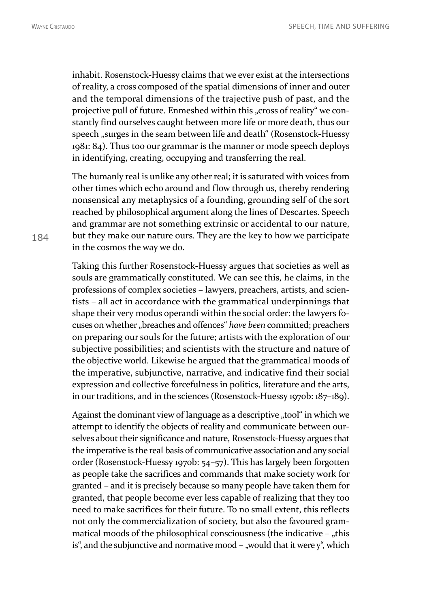inhabit. Rosenstock-Huessy claims that we ever exist at the intersections of reality, a cross composed of the spatial dimensions of inner and outer and the temporal dimensions of the trajective push of past, and the projective pull of future. Enmeshed within this "cross of reality" we constantly find ourselves caught between more life or more death, thus our speech , surges in the seam between life and death " (Rosenstock-Huessy 1981: 84). Thus too our grammar is the manner or mode speech deploys in identifying, creating, occupying and transferring the real.

The humanly real is unlike any other real; it is saturated with voices from other times which echo around and flow through us, thereby rendering nonsensical any metaphysics of a founding, grounding self of the sort reached by philosophical argument along the lines of Descartes. Speech and grammar are not something extrinsic or accidental to our nature, but they make our nature ours. They are the key to how we participate in the cosmos the way we do.

Taking this further Rosenstock-Huessy argues that societies as well as souls are grammatically constituted. We can see this, he claims, in the professions of complex societies – lawyers, preachers, artists, and scientists – all act in accordance with the grammatical underpinnings that shape their very modus operandi within the social order: the lawyers focuses on whether "breaches and offences" *have been* committed; preachers on preparing our souls for the future; artists with the exploration of our subjective possibilities; and scientists with the structure and nature of the objective world. Likewise he argued that the grammatical moods of the imperative, subjunctive, narrative, and indicative find their social expression and collective forcefulness in politics, literature and the arts, in our traditions, and in the sciences (Rosenstock-Huessy 1970b: 187–189).

Against the dominant view of language as a descriptive "tool" in which we attempt to identify the objects of reality and communicate between ourselves about their significance and nature, Rosenstock-Huessy argues that the imperative is the real basis of communicative association and any social order (Rosenstock-Huessy 1970b: 54–57). This has largely been forgotten as people take the sacrifices and commands that make society work for granted – and it is precisely because so many people have taken them for granted, that people become ever less capable of realizing that they too need to make sacrifices for their future. To no small extent, this reflects not only the commercialization of society, but also the favoured grammatical moods of the philosophical consciousness (the indicative – "this is", and the subjunctive and normative mood  $-$  , would that it were y", which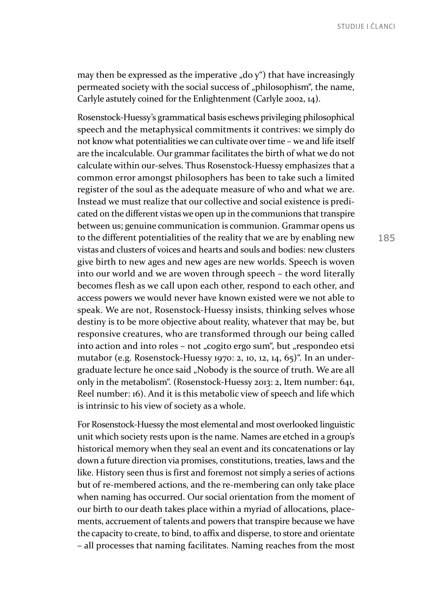may then be expressed as the imperative  $\partial_{\alpha}$  do  $y^{\alpha}$ ) that have increasingly permeated society with the social success of "philosophism", the name, Carlyle astutely coined for the Enlightenment (Carlyle 2002, 14).

Rosenstock-Huessy's grammatical basis eschews privileging philosophical speech and the metaphysical commitments it contrives: we simply do not know what potentialities we can cultivate over time – we and life itself are the incalculable. Our grammar facilitates the birth of what we do not calculate within our-selves. Thus Rosenstock-Huessy emphasizes that a common error amongst philosophers has been to take such a limited register of the soul as the adequate measure of who and what we are. Instead we must realize that our collective and social existence is predicated on the different vistas we open up in the communions that transpire between us; genuine communication is communion. Grammar opens us to the different potentialities of the reality that we are by enabling new vistas and clusters of voices and hearts and souls and bodies: new clusters give birth to new ages and new ages are new worlds. Speech is woven into our world and we are woven through speech – the word literally becomes flesh as we call upon each other, respond to each other, and access powers we would never have known existed were we not able to speak. We are not, Rosenstock-Huessy insists, thinking selves whose destiny is to be more objective about reality, whatever that may be, but responsive creatures, who are transformed through our being called into action and into roles - not "cogito ergo sum", but "respondeo etsi mutabor (e.g. Rosenstock-Huessy 1970: 2, 10, 12, 14, 65)". In an undergraduate lecture he once said "Nobody is the source of truth. We are all only in the metabolism". (Rosenstock-Huessy 2013: 2, Item number: 641, Reel number: 16). And it is this metabolic view of speech and life which is intrinsic to his view of society as a whole.

For Rosenstock-Huessy the most elemental and most overlooked linguistic unit which society rests upon is the name. Names are etched in a group's historical memory when they seal an event and its concatenations or lay down a future direction via promises, constitutions, treaties, laws and the like. History seen thus is first and foremost not simply a series of actions but of re-membered actions, and the re-membering can only take place when naming has occurred. Our social orientation from the moment of our birth to our death takes place within a myriad of allocations, placements, accruement of talents and powers that transpire because we have the capacity to create, to bind, to affix and disperse, to store and orientate – all processes that naming facilitates. Naming reaches from the most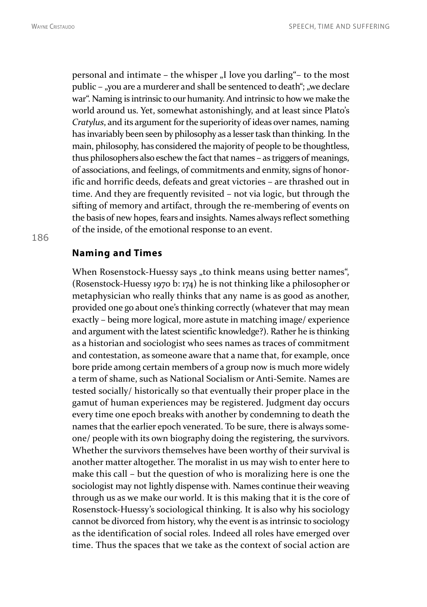personal and intimate – the whisper "I love you darling"– to the most public – "you are a murderer and shall be sentenced to death"; "we declare war". Naming is intrinsic to our humanity. And intrinsic to how we make the world around us. Yet, somewhat astonishingly, and at least since Plato's *Cratylus*, and its argument for the superiority of ideas over names, naming has invariably been seen by philosophy as a lesser task than thinking. In the main, philosophy, has considered the majority of people to be thoughtless, thus philosophers also eschew the fact that names – as triggers of meanings, of associations, and feelings, of commitments and enmity, signs of honorific and horrific deeds, defeats and great victories – are thrashed out in time. And they are frequently revisited – not via logic, but through the sifting of memory and artifact, through the re-membering of events on the basis of new hopes, fears and insights. Names always reflect something of the inside, of the emotional response to an event.

### **Naming and Times**

When Rosenstock-Huessy says "to think means using better names", (Rosenstock-Huessy 1970 b: 174) he is not thinking like a philosopher or metaphysician who really thinks that any name is as good as another, provided one go about one's thinking correctly (whatever that may mean exactly – being more logical, more astute in matching image/ experience and argument with the latest scientific knowledge?). Rather he is thinking as a historian and sociologist who sees names as traces of commitment and contestation, as someone aware that a name that, for example, once bore pride among certain members of a group now is much more widely a term of shame, such as National Socialism or Anti-Semite. Names are tested socially/ historically so that eventually their proper place in the gamut of human experiences may be registered. Judgment day occurs every time one epoch breaks with another by condemning to death the names that the earlier epoch venerated. To be sure, there is always someone/ people with its own biography doing the registering, the survivors. Whether the survivors themselves have been worthy of their survival is another matter altogether. The moralist in us may wish to enter here to make this call – but the question of who is moralizing here is one the sociologist may not lightly dispense with. Names continue their weaving through us as we make our world. It is this making that it is the core of Rosenstock-Huessy's sociological thinking. It is also why his sociology cannot be divorced from history, why the event is as intrinsic to sociology as the identification of social roles. Indeed all roles have emerged over time. Thus the spaces that we take as the context of social action are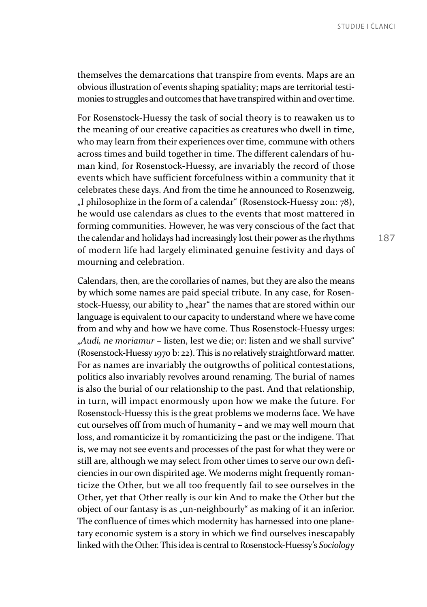themselves the demarcations that transpire from events. Maps are an obvious illustration of events shaping spatiality; maps are territorial testimonies to struggles and outcomes that have transpired within and over time.

For Rosenstock-Huessy the task of social theory is to reawaken us to the meaning of our creative capacities as creatures who dwell in time, who may learn from their experiences over time, commune with others across times and build together in time. The different calendars of human kind, for Rosenstock-Huessy, are invariably the record of those events which have sufficient forcefulness within a community that it celebrates these days. And from the time he announced to Rosenzweig, "I philosophize in the form of a calendar" (Rosenstock-Huessy 2011: 78), he would use calendars as clues to the events that most mattered in forming communities. However, he was very conscious of the fact that the calendar and holidays had increasingly lost their power as the rhythms of modern life had largely eliminated genuine festivity and days of mourning and celebration.

Calendars, then, are the corollaries of names, but they are also the means by which some names are paid special tribute. In any case, for Rosenstock-Huessy, our ability to "hear" the names that are stored within our language is equivalent to our capacity to understand where we have come from and why and how we have come. Thus Rosenstock-Huessy urges: "*Audi, ne moriamur* – listen, lest we die; or: listen and we shall survive" (Rosenstock-Huessy 1970 b: 22). This is no relatively straightforward matter. For as names are invariably the outgrowths of political contestations, politics also invariably revolves around renaming. The burial of names is also the burial of our relationship to the past. And that relationship, in turn, will impact enormously upon how we make the future. For Rosenstock-Huessy this is the great problems we moderns face. We have cut ourselves off from much of humanity – and we may well mourn that loss, and romanticize it by romanticizing the past or the indigene. That is, we may not see events and processes of the past for what they were or still are, although we may select from other times to serve our own deficiencies in our own dispirited age. We moderns might frequently romanticize the Other, but we all too frequently fail to see ourselves in the Other, yet that Other really is our kin And to make the Other but the object of our fantasy is as "un-neighbourly" as making of it an inferior. The confluence of times which modernity has harnessed into one planetary economic system is a story in which we find ourselves inescapably linked with the Other. This idea is central to Rosenstock-Huessy's *Sociology*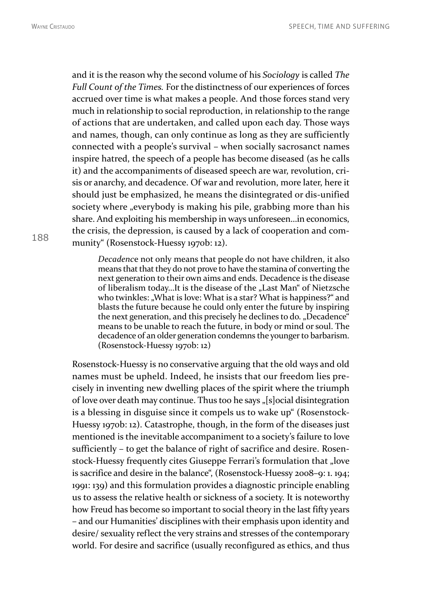and it is the reason why the second volume of his *Sociology* is called *The Full Count of the Times.* For the distinctness of our experiences of forces accrued over time is what makes a people. And those forces stand very much in relationship to social reproduction, in relationship to the range of actions that are undertaken, and called upon each day. Those ways and names, though, can only continue as long as they are sufficiently connected with a people's survival – when socially sacrosanct names inspire hatred, the speech of a people has become diseased (as he calls it) and the accompaniments of diseased speech are war, revolution, crisis or anarchy, and decadence. Of war and revolution, more later, here it should just be emphasized, he means the disintegrated or dis-unified society where "everybody is making his pile, grabbing more than his share. And exploiting his membership in ways unforeseen…in economics, the crisis, the depression, is caused by a lack of cooperation and community" (Rosenstock-Huessy 1970b: 12).

*Decadenc*e not only means that people do not have children, it also means that that they do not prove to have the stamina of converting the next generation to their own aims and ends. Decadence is the disease of liberalism today...It is the disease of the "Last Man" of Nietzsche who twinkles: "What is love: What is a star? What is happiness?" and blasts the future because he could only enter the future by inspiring the next generation, and this precisely he declines to do. "Decadence" means to be unable to reach the future, in body or mind or soul. The decadence of an older generation condemns the younger to barbarism. (Rosenstock-Huessy 1970b: 12)

Rosenstock-Huessy is no conservative arguing that the old ways and old names must be upheld. Indeed, he insists that our freedom lies precisely in inventing new dwelling places of the spirit where the triumph of love over death may continue. Thus too he says "[s]ocial disintegration is a blessing in disguise since it compels us to wake up" (Rosenstock-Huessy 1970b: 12). Catastrophe, though, in the form of the diseases just mentioned is the inevitable accompaniment to a society's failure to love sufficiently – to get the balance of right of sacrifice and desire. Rosenstock-Huessy frequently cites Giuseppe Ferrari's formulation that "love is sacrifice and desire in the balance", (Rosenstock-Huessy 2008–9: 1. 194; 1991: 139) and this formulation provides a diagnostic principle enabling us to assess the relative health or sickness of a society. It is noteworthy how Freud has become so important to social theory in the last fifty years – and our Humanities' disciplines with their emphasis upon identity and desire/ sexuality reflect the very strains and stresses of the contemporary world. For desire and sacrifice (usually reconfigured as ethics, and thus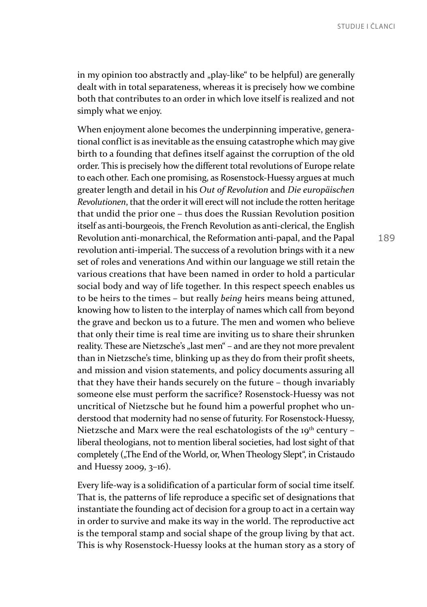in my opinion too abstractly and "play-like" to be helpful) are generally dealt with in total separateness, whereas it is precisely how we combine both that contributes to an order in which love itself is realized and not simply what we enjoy.

When enjoyment alone becomes the underpinning imperative, generational conflict is as inevitable as the ensuing catastrophe which may give birth to a founding that defines itself against the corruption of the old order. This is precisely how the different total revolutions of Europe relate to each other. Each one promising, as Rosenstock-Huessy argues at much greater length and detail in his *Out of Revolution* and *Die europäischen Revolutionen*, that the order it will erect will not include the rotten heritage that undid the prior one – thus does the Russian Revolution position itself as anti-bourgeois, the French Revolution as anti-clerical, the English Revolution anti-monarchical, the Reformation anti-papal, and the Papal revolution anti-imperial. The success of a revolution brings with it a new set of roles and venerations And within our language we still retain the various creations that have been named in order to hold a particular social body and way of life together. In this respect speech enables us to be heirs to the times – but really *being* heirs means being attuned, knowing how to listen to the interplay of names which call from beyond the grave and beckon us to a future. The men and women who believe that only their time is real time are inviting us to share their shrunken reality. These are Nietzsche's "last men" – and are they not more prevalent than in Nietzsche's time, blinking up as they do from their profit sheets, and mission and vision statements, and policy documents assuring all that they have their hands securely on the future – though invariably someone else must perform the sacrifice? Rosenstock-Huessy was not uncritical of Nietzsche but he found him a powerful prophet who understood that modernity had no sense of futurity. For Rosenstock-Huessy, Nietzsche and Marx were the real eschatologists of the  $19<sup>th</sup>$  century – liberal theologians, not to mention liberal societies, had lost sight of that completely ("The End of the World, or, When Theology Slept", in Cristaudo and Huessy 2009, 3–16).

Every life-way is a solidification of a particular form of social time itself. That is, the patterns of life reproduce a specific set of designations that instantiate the founding act of decision for a group to act in a certain way in order to survive and make its way in the world. The reproductive act is the temporal stamp and social shape of the group living by that act. This is why Rosenstock-Huessy looks at the human story as a story of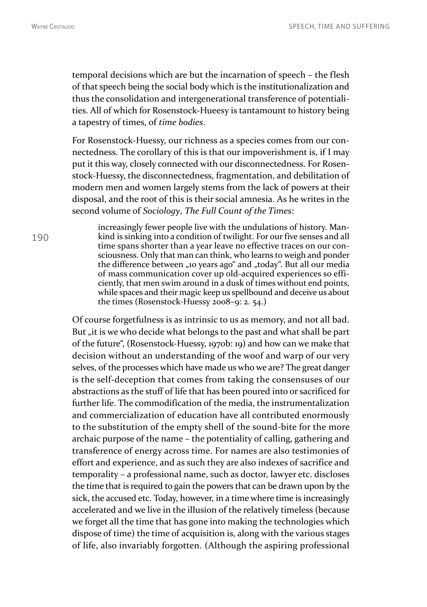temporal decisions which are but the incarnation of speech – the flesh of that speech being the social body which is the institutionalization and thus the consolidation and intergenerational transference of potentialities. All of which for Rosenstock-Hueesy is tantamount to history being a tapestry of times, of *time bodies*.

For Rosenstock-Huessy, our richness as a species comes from our connectedness. The corollary of this is that our impoverishment is, if I may put it this way, closely connected with our disconnectedness. For Rosenstock-Huessy, the disconnectedness, fragmentation, and debilitation of modern men and women largely stems from the lack of powers at their disposal, and the root of this is their social amnesia. As he writes in the second volume of *Sociology*, *The Full Count of the Times*:

increasingly fewer people live with the undulations of history. Mankind is sinking into a condition of twilight. For our five senses and all time spans shorter than a year leave no effective traces on our consciousness. Only that man can think, who learns to weigh and ponder the difference between "10 years ago" and "today". But all our media of mass communication cover up old-acquired experiences so efficiently, that men swim around in a dusk of times without end points, while spaces and their magic keep us spellbound and deceive us about the times (Rosenstock-Huessy 2008–9: 2. 54.)

Of course forgetfulness is as intrinsic to us as memory, and not all bad. But "it is we who decide what belongs to the past and what shall be part of the future", (Rosenstock-Huessy, 1970b: 19) and how can we make that decision without an understanding of the woof and warp of our very selves, of the processes which have made us who we are? The great danger is the self-deception that comes from taking the consensuses of our abstractions as the stuff of life that has been poured into or sacrificed for further life. The commodification of the media, the instrumentalization and commercialization of education have all contributed enormously to the substitution of the empty shell of the sound-bite for the more archaic purpose of the name – the potentiality of calling, gathering and transference of energy across time. For names are also testimonies of effort and experience, and as such they are also indexes of sacrifice and temporality – a professional name, such as doctor, lawyer etc. discloses the time that is required to gain the powers that can be drawn upon by the sick, the accused etc. Today, however, in a time where time is increasingly accelerated and we live in the illusion of the relatively timeless (because we forget all the time that has gone into making the technologies which dispose of time) the time of acquisition is, along with the various stages of life, also invariably forgotten. (Although the aspiring professional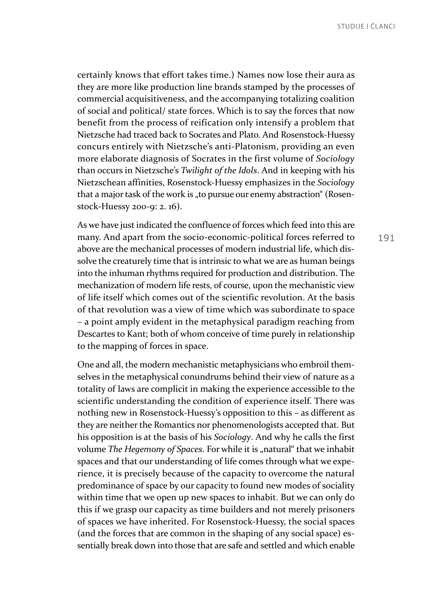certainly knows that effort takes time.) Names now lose their aura as they are more like production line brands stamped by the processes of commercial acquisitiveness, and the accompanying totalizing coalition of social and political/ state forces. Which is to say the forces that now benefit from the process of reification only intensify a problem that Nietzsche had traced back to Socrates and Plato. And Rosenstock-Huessy concurs entirely with Nietzsche's anti-Platonism, providing an even more elaborate diagnosis of Socrates in the first volume of *Sociology* than occurs in Nietzsche's *Twilight of the Idols*. And in keeping with his Nietzschean affinities, Rosenstock-Huessy emphasizes in the *Sociology* that a major task of the work is "to pursue our enemy abstraction" (Rosenstock-Huessy 200-9: 2. 16).

As we have just indicated the confluence of forces which feed into this are many. And apart from the socio-economic-political forces referred to above are the mechanical processes of modern industrial life, which dissolve the creaturely time that is intrinsic to what we are as human beings into the inhuman rhythms required for production and distribution. The mechanization of modern life rests, of course, upon the mechanistic view of life itself which comes out of the scientific revolution. At the basis of that revolution was a view of time which was subordinate to space – a point amply evident in the metaphysical paradigm reaching from Descartes to Kant; both of whom conceive of time purely in relationship to the mapping of forces in space.

One and all, the modern mechanistic metaphysicians who embroil themselves in the metaphysical conundrums behind their view of nature as a totality of laws are complicit in making the experience accessible to the scientific understanding the condition of experience itself. There was nothing new in Rosenstock-Huessy's opposition to this – as different as they are neither the Romantics nor phenomenologists accepted that. But his opposition is at the basis of his *Sociology*. And why he calls the first volume *The Hegemony of Spaces*. For while it is "natural" that we inhabit spaces and that our understanding of life comes through what we experience, it is precisely because of the capacity to overcome the natural predominance of space by our capacity to found new modes of sociality within time that we open up new spaces to inhabit. But we can only do this if we grasp our capacity as time builders and not merely prisoners of spaces we have inherited. For Rosenstock-Huessy, the social spaces (and the forces that are common in the shaping of any social space) essentially break down into those that are safe and settled and which enable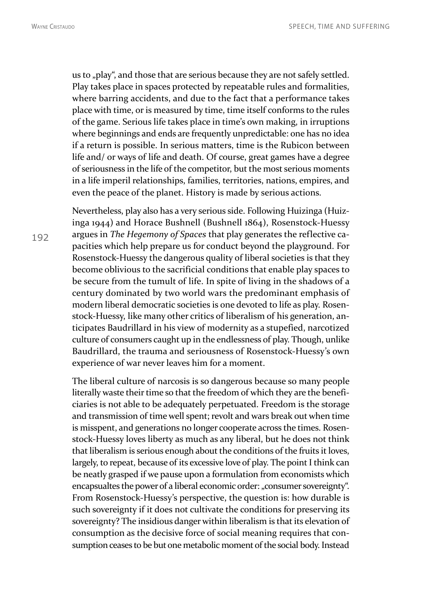us to "play", and those that are serious because they are not safely settled. Play takes place in spaces protected by repeatable rules and formalities, where barring accidents, and due to the fact that a performance takes place with time, or is measured by time, time itself conforms to the rules of the game. Serious life takes place in time's own making, in irruptions where beginnings and ends are frequently unpredictable: one has no idea if a return is possible. In serious matters, time is the Rubicon between life and/ or ways of life and death. Of course, great games have a degree of seriousness in the life of the competitor, but the most serious moments in a life imperil relationships, families, territories, nations, empires, and even the peace of the planet. History is made by serious actions.

Nevertheless, play also has a very serious side. Following Huizinga (Huizinga 1944) and Horace Bushnell (Bushnell 1864), Rosenstock-Huessy argues in *The Hegemony of Spaces* that play generates the reflective capacities which help prepare us for conduct beyond the playground. For Rosenstock-Huessy the dangerous quality of liberal societies is that they become oblivious to the sacrificial conditions that enable play spaces to be secure from the tumult of life. In spite of living in the shadows of a century dominated by two world wars the predominant emphasis of modern liberal democratic societies is one devoted to life as play. Rosenstock-Huessy, like many other critics of liberalism of his generation, anticipates Baudrillard in his view of modernity as a stupefied, narcotized culture of consumers caught up in the endlessness of play. Though, unlike Baudrillard, the trauma and seriousness of Rosenstock-Huessy's own experience of war never leaves him for a moment.

The liberal culture of narcosis is so dangerous because so many people literally waste their time so that the freedom of which they are the beneficiaries is not able to be adequately perpetuated. Freedom is the storage and transmission of time well spent; revolt and wars break out when time is misspent, and generations no longer cooperate across the times. Rosenstock-Huessy loves liberty as much as any liberal, but he does not think that liberalism is serious enough about the conditions of the fruits it loves, largely, to repeat, because of its excessive love of play. The point I think can be neatly grasped if we pause upon a formulation from economists which encapsualtes the power of a liberal economic order: "consumer sovereignty". From Rosenstock-Huessy's perspective, the question is: how durable is such sovereignty if it does not cultivate the conditions for preserving its sovereignty? The insidious danger within liberalism is that its elevation of consumption as the decisive force of social meaning requires that consumption ceases to be but one metabolic moment of the social body. Instead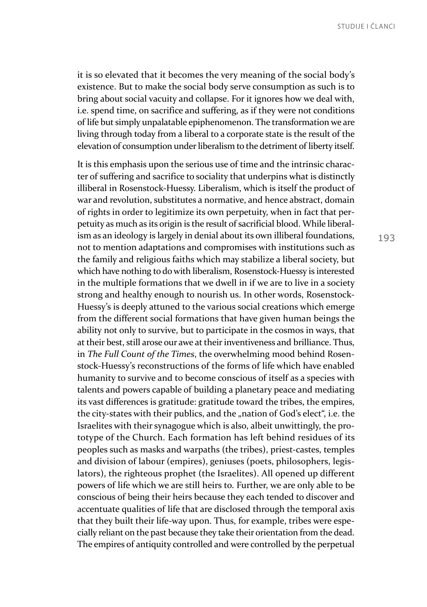it is so elevated that it becomes the very meaning of the social body's existence. But to make the social body serve consumption as such is to bring about social vacuity and collapse. For it ignores how we deal with, i.e. spend time, on sacrifice and suffering, as if they were not conditions of life but simply unpalatable epiphenomenon. The transformation we are living through today from a liberal to a corporate state is the result of the elevation of consumption under liberalism to the detriment of liberty itself.

It is this emphasis upon the serious use of time and the intrinsic character of suffering and sacrifice to sociality that underpins what is distinctly illiberal in Rosenstock-Huessy. Liberalism, which is itself the product of war and revolution, substitutes a normative, and hence abstract, domain of rights in order to legitimize its own perpetuity, when in fact that perpetuity as much as its origin is the result of sacrificial blood. While liberalism as an ideology is largely in denial about its own illiberal foundations, not to mention adaptations and compromises with institutions such as the family and religious faiths which may stabilize a liberal society, but which have nothing to do with liberalism, Rosenstock-Huessy is interested in the multiple formations that we dwell in if we are to live in a society strong and healthy enough to nourish us. In other words, Rosenstock-Huessy's is deeply attuned to the various social creations which emerge from the different social formations that have given human beings the ability not only to survive, but to participate in the cosmos in ways, that at their best, still arose our awe at their inventiveness and brilliance. Thus, in *The Full Count of the Times*, the overwhelming mood behind Rosenstock-Huessy's reconstructions of the forms of life which have enabled humanity to survive and to become conscious of itself as a species with talents and powers capable of building a planetary peace and mediating its vast differences is gratitude: gratitude toward the tribes, the empires, the city-states with their publics, and the "nation of God's elect", i.e. the Israelites with their synagogue which is also, albeit unwittingly, the prototype of the Church. Each formation has left behind residues of its peoples such as masks and warpaths (the tribes), priest-castes, temples and division of labour (empires), geniuses (poets, philosophers, legislators), the righteous prophet (the Israelites). All opened up different powers of life which we are still heirs to. Further, we are only able to be conscious of being their heirs because they each tended to discover and accentuate qualities of life that are disclosed through the temporal axis that they built their life-way upon. Thus, for example, tribes were especially reliant on the past because they take their orientation from the dead. The empires of antiquity controlled and were controlled by the perpetual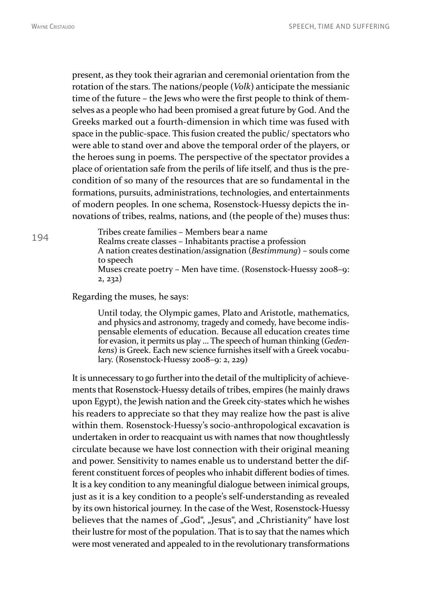194

present, as they took their agrarian and ceremonial orientation from the rotation of the stars. The nations/people (*Volk*) anticipate the messianic time of the future – the Jews who were the first people to think of themselves as a people who had been promised a great future by God. And the Greeks marked out a fourth-dimension in which time was fused with space in the public-space. This fusion created the public/ spectators who were able to stand over and above the temporal order of the players, or the heroes sung in poems. The perspective of the spectator provides a place of orientation safe from the perils of life itself, and thus is the precondition of so many of the resources that are so fundamental in the formations, pursuits, administrations, technologies, and entertainments of modern peoples. In one schema, Rosenstock-Huessy depicts the innovations of tribes, realms, nations, and (the people of the) muses thus:

Tribes create families – Members bear a name Realms create classes – Inhabitants practise a profession A nation creates destination/assignation (*Bestimmung*) – souls come to speech Muses create poetry – Men have time. (Rosenstock-Huessy 2008–9: 2, 232)

Regarding the muses, he says:

Until today, the Olympic games, Plato and Aristotle, mathematics, and physics and astronomy, tragedy and comedy, have become indispensable elements of education. Because all education creates time for evasion, it permits us play … The speech of human thinking (*Gedenkens*) is Greek. Each new science furnishes itself with a Greek vocabulary. (Rosenstock-Huessy 2008–9: 2, 229)

It is unnecessary to go further into the detail of the multiplicity of achievements that Rosenstock-Huessy details of tribes, empires (he mainly draws upon Egypt), the Jewish nation and the Greek city-states which he wishes his readers to appreciate so that they may realize how the past is alive within them. Rosenstock-Huessy's socio-anthropological excavation is undertaken in order to reacquaint us with names that now thoughtlessly circulate because we have lost connection with their original meaning and power. Sensitivity to names enable us to understand better the different constituent forces of peoples who inhabit different bodies of times. It is a key condition to any meaningful dialogue between inimical groups, just as it is a key condition to a people's self-understanding as revealed by its own historical journey. In the case of the West, Rosenstock-Huessy believes that the names of "God", "Jesus", and "Christianity" have lost their lustre for most of the population. That is to say that the names which were most venerated and appealed to in the revolutionary transformations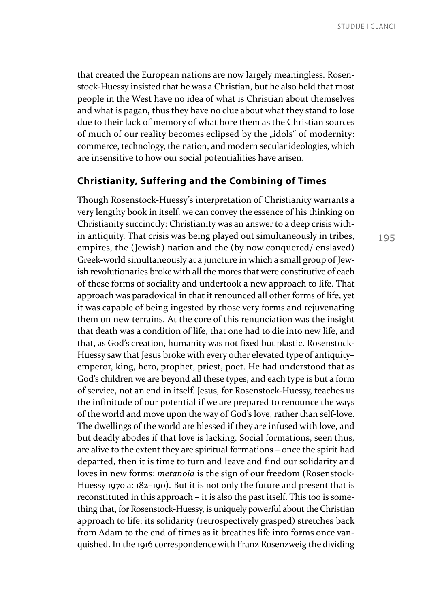that created the European nations are now largely meaningless. Rosenstock-Huessy insisted that he was a Christian, but he also held that most people in the West have no idea of what is Christian about themselves and what is pagan, thus they have no clue about what they stand to lose due to their lack of memory of what bore them as the Christian sources of much of our reality becomes eclipsed by the "idols" of modernity: commerce, technology, the nation, and modern secular ideologies, which are insensitive to how our social potentialities have arisen.

#### **Christianity, Suffering and the Combining of Times**

Though Rosenstock-Huessy's interpretation of Christianity warrants a very lengthy book in itself, we can convey the essence of his thinking on Christianity succinctly: Christianity was an answer to a deep crisis within antiquity. That crisis was being played out simultaneously in tribes, empires, the (Jewish) nation and the (by now conquered/ enslaved) Greek-world simultaneously at a juncture in which a small group of Jewish revolutionaries broke with all the mores that were constitutive of each of these forms of sociality and undertook a new approach to life. That approach was paradoxical in that it renounced all other forms of life, yet it was capable of being ingested by those very forms and rejuvenating them on new terrains. At the core of this renunciation was the insight that death was a condition of life, that one had to die into new life, and that, as God's creation, humanity was not fixed but plastic. Rosenstock-Huessy saw that Jesus broke with every other elevated type of antiquity– emperor, king, hero, prophet, priest, poet. He had understood that as God's children we are beyond all these types, and each type is but a form of service, not an end in itself. Jesus, for Rosenstock-Huessy, teaches us the infinitude of our potential if we are prepared to renounce the ways of the world and move upon the way of God's love, rather than self-love. The dwellings of the world are blessed if they are infused with love, and but deadly abodes if that love is lacking. Social formations, seen thus, are alive to the extent they are spiritual formations – once the spirit had departed, then it is time to turn and leave and find our solidarity and loves in new forms: *metanoia* is the sign of our freedom (Rosenstock-Huessy 1970 a: 182–190). But it is not only the future and present that is reconstituted in this approach – it is also the past itself. This too is something that, for Rosenstock-Huessy, is uniquely powerful about the Christian approach to life: its solidarity (retrospectively grasped) stretches back from Adam to the end of times as it breathes life into forms once vanquished. In the 1916 correspondence with Franz Rosenzweig the dividing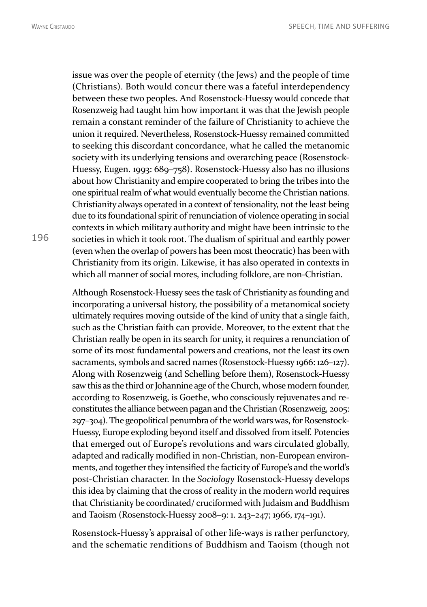issue was over the people of eternity (the Jews) and the people of time (Christians). Both would concur there was a fateful interdependency between these two peoples. And Rosenstock-Huessy would concede that Rosenzweig had taught him how important it was that the Jewish people remain a constant reminder of the failure of Christianity to achieve the union it required. Nevertheless, Rosenstock-Huessy remained committed to seeking this discordant concordance, what he called the metanomic society with its underlying tensions and overarching peace (Rosenstock-Huessy, Eugen. 1993: 689–758). Rosenstock-Huessy also has no illusions about how Christianity and empire cooperated to bring the tribes into the one spiritual realm of what would eventually become the Christian nations. Christianity always operated in a context of tensionality, not the least being due to its foundational spirit of renunciation of violence operating in social contexts in which military authority and might have been intrinsic to the societies in which it took root. The dualism of spiritual and earthly power (even when the overlap of powers has been most theocratic) has been with Christianity from its origin. Likewise, it has also operated in contexts in which all manner of social mores, including folklore, are non-Christian.

Although Rosenstock-Huessy sees the task of Christianity as founding and incorporating a universal history, the possibility of a metanomical society ultimately requires moving outside of the kind of unity that a single faith, such as the Christian faith can provide. Moreover, to the extent that the Christian really be open in its search for unity, it requires a renunciation of some of its most fundamental powers and creations, not the least its own sacraments, symbols and sacred names (Rosenstock-Huessy 1966: 126–127). Along with Rosenzweig (and Schelling before them), Rosenstock-Huessy saw this as the third or Johannine age of the Church, whose modern founder, according to Rosenzweig, is Goethe, who consciously rejuvenates and reconstitutes the alliance between pagan and the Christian (Rosenzweig, 2005: 297–304). The geopolitical penumbra of the world wars was, for Rosenstock-Huessy, Europe exploding beyond itself and dissolved from itself. Potencies that emerged out of Europe's revolutions and wars circulated globally, adapted and radically modified in non-Christian, non-European environments, and together they intensified the facticity of Europe's and the world's post-Christian character. In the *Sociology* Rosenstock-Huessy develops this idea by claiming that the cross of reality in the modern world requires that Christianity be coordinated/ cruciformed with Judaism and Buddhism and Taoism (Rosenstock-Huessy 2008–9: 1. 243–247; 1966, 174–191).

Rosenstock-Huessy's appraisal of other life-ways is rather perfunctory, and the schematic renditions of Buddhism and Taoism (though not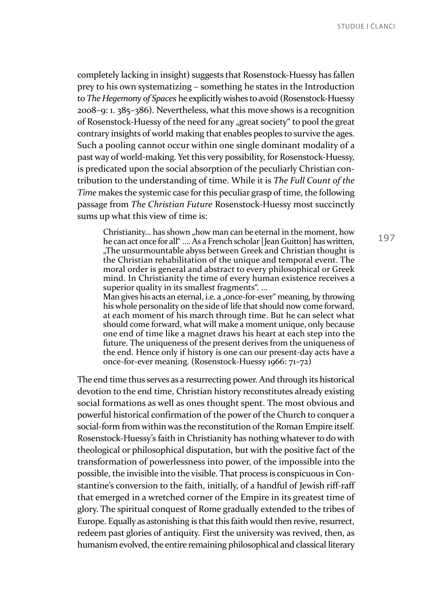completely lacking in insight) suggests that Rosenstock-Huessy has fallen prey to his own systematizing – something he states in the Introduction to *The Hegemony of Spaces* he explicitly wishes to avoid (Rosenstock-Huessy 2008–9: 1. 385–386). Nevertheless, what this move shows is a recognition of Rosenstock-Huessy of the need for any "great society" to pool the great contrary insights of world making that enables peoples to survive the ages. Such a pooling cannot occur within one single dominant modality of a past way of world-making. Yet this very possibility, for Rosenstock-Huessy, is predicated upon the social absorption of the peculiarly Christian contribution to the understanding of time. While it is *The Full Count of the Time* makes the systemic case for this peculiar grasp of time, the following passage from *The Christian Future* Rosenstock-Huessy most succinctly sums up what this view of time is:

Christianity... has shown "how man can be eternal in the moment, how he can act once for all" …. As a French scholar [Jean Guitton] has written, "The unsurmountable abyss between Greek and Christian thought is the Christian rehabilitation of the unique and temporal event. The moral order is general and abstract to every philosophical or Greek mind. In Christianity the time of every human existence receives a superior quality in its smallest fragments". ...

Man gives his acts an eternal, i.e. a "once-for-ever" meaning, by throwing his whole personality on the side of life that should now come forward, at each moment of his march through time. But he can select what should come forward, what will make a moment unique, only because one end of time like a magnet draws his heart at each step into the future. The uniqueness of the present derives from the uniqueness of the end. Hence only if history is one can our present-day acts have a once-for-ever meaning. (Rosenstock-Huessy 1966: 71–72)

The end time thus serves as a resurrecting power. And through its historical devotion to the end time, Christian history reconstitutes already existing social formations as well as ones thought spent. The most obvious and powerful historical confirmation of the power of the Church to conquer a social-form from within was the reconstitution of the Roman Empire itself. Rosenstock-Huessy's faith in Christianity has nothing whatever to do with theological or philosophical disputation, but with the positive fact of the transformation of powerlessness into power, of the impossible into the possible, the invisible into the visible. That process is conspicuous in Constantine's conversion to the faith, initially, of a handful of Jewish riff-raff that emerged in a wretched corner of the Empire in its greatest time of glory. The spiritual conquest of Rome gradually extended to the tribes of Europe. Equally as astonishing is that this faith would then revive, resurrect, redeem past glories of antiquity. First the university was revived, then, as humanism evolved, the entire remaining philosophical and classical literary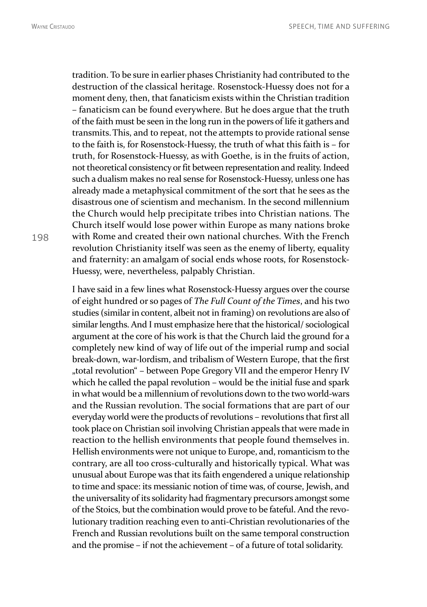tradition. To be sure in earlier phases Christianity had contributed to the destruction of the classical heritage. Rosenstock-Huessy does not for a moment deny, then, that fanaticism exists within the Christian tradition – fanaticism can be found everywhere. But he does argue that the truth of the faith must be seen in the long run in the powers of life it gathers and transmits.This, and to repeat, not the attempts to provide rational sense to the faith is, for Rosenstock-Huessy, the truth of what this faith is – for truth, for Rosenstock-Huessy, as with Goethe, is in the fruits of action, not theoretical consistency or fit between representation and reality. Indeed such a dualism makes no real sense for Rosenstock-Huessy, unless one has already made a metaphysical commitment of the sort that he sees as the disastrous one of scientism and mechanism. In the second millennium the Church would help precipitate tribes into Christian nations. The Church itself would lose power within Europe as many nations broke with Rome and created their own national churches. With the French revolution Christianity itself was seen as the enemy of liberty, equality and fraternity: an amalgam of social ends whose roots, for Rosenstock-Huessy, were, nevertheless, palpably Christian.

I have said in a few lines what Rosenstock-Huessy argues over the course of eight hundred or so pages of *The Full Count of the Times*, and his two studies (similar in content, albeit not in framing) on revolutions are also of similar lengths. And I must emphasize here that the historical/ sociological argument at the core of his work is that the Church laid the ground for a completely new kind of way of life out of the imperial rump and social break-down, war-lordism, and tribalism of Western Europe, that the first "total revolution" – between Pope Gregory VII and the emperor Henry IV which he called the papal revolution – would be the initial fuse and spark in what would be a millennium of revolutions down to the two world-wars and the Russian revolution. The social formations that are part of our everyday world were the products of revolutions – revolutions that first all took place on Christian soil involving Christian appeals that were made in reaction to the hellish environments that people found themselves in. Hellish environments were not unique to Europe, and, romanticism to the contrary, are all too cross-culturally and historically typical. What was unusual about Europe was that its faith engendered a unique relationship to time and space: its messianic notion of time was, of course, Jewish, and the universality of its solidarity had fragmentary precursors amongst some of the Stoics, but the combination would prove to be fateful. And the revolutionary tradition reaching even to anti-Christian revolutionaries of the French and Russian revolutions built on the same temporal construction and the promise – if not the achievement – of a future of total solidarity.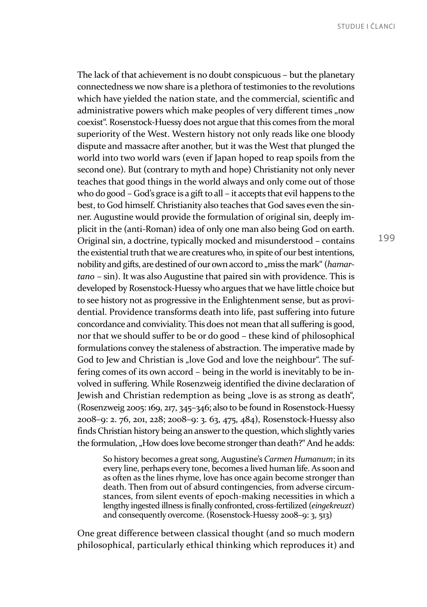The lack of that achievement is no doubt conspicuous – but the planetary connectedness we now share is a plethora of testimonies to the revolutions which have yielded the nation state, and the commercial, scientific and administrative powers which make peoples of very different times "now coexist". Rosenstock-Huessy does not argue that this comes from the moral superiority of the West. Western history not only reads like one bloody dispute and massacre after another, but it was the West that plunged the world into two world wars (even if Japan hoped to reap spoils from the second one). But (contrary to myth and hope) Christianity not only never teaches that good things in the world always and only come out of those who do good – God's grace is a gift to all – it accepts that evil happens to the best, to God himself. Christianity also teaches that God saves even the sinner. Augustine would provide the formulation of original sin, deeply implicit in the (anti-Roman) idea of only one man also being God on earth. Original sin, a doctrine, typically mocked and misunderstood – contains the existential truth that we are creatures who, in spite of our best intentions, nobility and gifts, are destined of our own accord to "miss the mark" (*hamartano* – sin). It was also Augustine that paired sin with providence. This is developed by Rosenstock-Huessy who argues that we have little choice but to see history not as progressive in the Enlightenment sense, but as providential. Providence transforms death into life, past suffering into future concordance and conviviality. This does not mean that all suffering is good, nor that we should suffer to be or do good – these kind of philosophical formulations convey the staleness of abstraction. The imperative made by God to Jew and Christian is "love God and love the neighbour". The suffering comes of its own accord – being in the world is inevitably to be involved in suffering. While Rosenzweig identified the divine declaration of Jewish and Christian redemption as being "love is as strong as death", (Rosenzweig 2005: 169, 217, 345–346; also to be found in Rosenstock-Huessy 2008–9: 2. 76, 201, 228; 2008–9: 3. 63, 475, 484), Rosenstock-Huessy also finds Christian history being an answer to the question, which slightly varies the formulation, "How does love become stronger than death?" And he adds:

So history becomes a great song, Augustine's *Carmen Humanum*; in its every line, perhaps every tone, becomes a lived human life. As soon and as often as the lines rhyme, love has once again become stronger than death. Then from out of absurd contingencies, from adverse circumstances, from silent events of epoch-making necessities in which a lengthy ingested illness is finally confronted, cross-fertilized (*eingekreuzt*) and consequently overcome. (Rosenstock-Huessy 2008–9: 3, 513)

One great difference between classical thought (and so much modern philosophical, particularly ethical thinking which reproduces it) and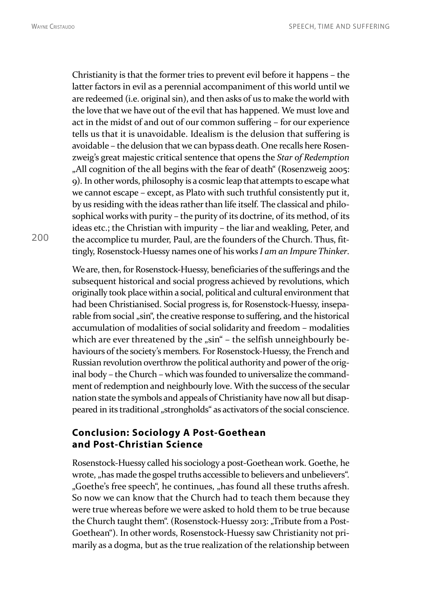Christianity is that the former tries to prevent evil before it happens – the latter factors in evil as a perennial accompaniment of this world until we are redeemed (i.e. original sin), and then asks of us to make the world with the love that we have out of the evil that has happened. We must love and act in the midst of and out of our common suffering – for our experience tells us that it is unavoidable. Idealism is the delusion that suffering is avoidable – the delusion that we can bypass death. One recalls here Rosenzweig's great majestic critical sentence that opens the *Star of Redemption* "All cognition of the all begins with the fear of death" (Rosenzweig 2005: 9). In other words, philosophy is a cosmic leap that attempts to escape what we cannot escape – except, as Plato with such truthful consistently put it, by us residing with the ideas rather than life itself. The classical and philosophical works with purity – the purity of its doctrine, of its method, of its ideas etc.; the Christian with impurity – the liar and weakling, Peter, and the accomplice tu murder, Paul, are the founders of the Church. Thus, fittingly, Rosenstock-Huessy names one of his works *I am an Impure Thinker*.

We are, then, for Rosenstock-Huessy, beneficiaries of the sufferings and the subsequent historical and social progress achieved by revolutions, which originally took place within a social, political and cultural environment that had been Christianised. Social progress is, for Rosenstock-Huessy, inseparable from social "sin", the creative response to suffering, and the historical accumulation of modalities of social solidarity and freedom – modalities which are ever threatened by the "sin" - the selfish unneighbourly behaviours of the society's members. For Rosenstock-Huessy, the French and Russian revolution overthrow the political authority and power of the original body – the Church – which was founded to universalize the commandment of redemption and neighbourly love. With the success of the secular nation state the symbols and appeals of Christianity have now all but disappeared in its traditional "strongholds" as activators of the social conscience.

### **Conclusion: Sociology A Post-Goethean and Post-Christian Science**

Rosenstock-Huessy called his sociology a post-Goethean work. Goethe, he wrote, "has made the gospel truths accessible to believers and unbelievers". "Goethe's free speech", he continues, "has found all these truths afresh. So now we can know that the Church had to teach them because they were true whereas before we were asked to hold them to be true because the Church taught them". (Rosenstock-Huessy 2013: "Tribute from a Post-Goethean"). In other words, Rosenstock-Huessy saw Christianity not primarily as a dogma, but as the true realization of the relationship between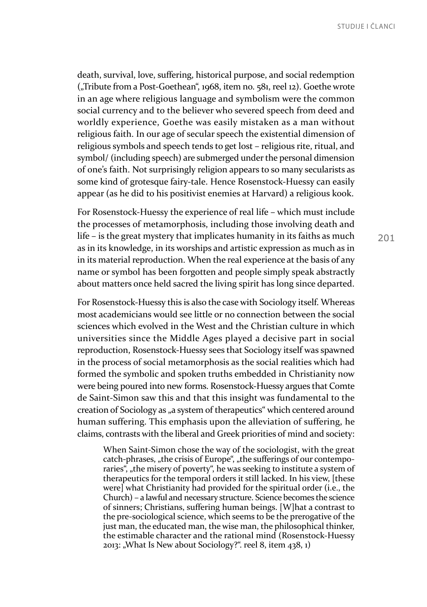death, survival, love, suffering, historical purpose, and social redemption ("Tribute from a Post-Goethean", 1968, item no. 581, reel 12). Goethe wrote in an age where religious language and symbolism were the common social currency and to the believer who severed speech from deed and worldly experience, Goethe was easily mistaken as a man without religious faith. In our age of secular speech the existential dimension of religious symbols and speech tends to get lost – religious rite, ritual, and symbol/ (including speech) are submerged under the personal dimension of one's faith. Not surprisingly religion appears to so many secularists as some kind of grotesque fairy-tale. Hence Rosenstock-Huessy can easily appear (as he did to his positivist enemies at Harvard) a religious kook.

For Rosenstock-Huessy the experience of real life – which must include the processes of metamorphosis, including those involving death and life – is the great mystery that implicates humanity in its faiths as much as in its knowledge, in its worships and artistic expression as much as in in its material reproduction. When the real experience at the basis of any name or symbol has been forgotten and people simply speak abstractly about matters once held sacred the living spirit has long since departed.

For Rosenstock-Huessy this is also the case with Sociology itself. Whereas most academicians would see little or no connection between the social sciences which evolved in the West and the Christian culture in which universities since the Middle Ages played a decisive part in social reproduction, Rosenstock-Huessy sees that Sociology itself was spawned in the process of social metamorphosis as the social realities which had formed the symbolic and spoken truths embedded in Christianity now were being poured into new forms. Rosenstock-Huessy argues that Comte de Saint-Simon saw this and that this insight was fundamental to the creation of Sociology as "a system of therapeutics" which centered around human suffering. This emphasis upon the alleviation of suffering, he claims, contrasts with the liberal and Greek priorities of mind and society:

When Saint-Simon chose the way of the sociologist, with the great catch-phrases, "the crisis of Europe", "the sufferings of our contemporaries", "the misery of poverty", he was seeking to institute a system of therapeutics for the temporal orders it still lacked. In his view, [these were] what Christianity had provided for the spiritual order (i.e., the Church) – a lawful and necessary structure. Science becomes the science of sinners; Christians, suffering human beings. [W]hat a contrast to the pre-sociological science, which seems to be the prerogative of the just man, the educated man, the wise man, the philosophical thinker, the estimable character and the rational mind (Rosenstock-Huessy 2013: "What Is New about Sociology?". reel 8, item  $438, 1$ )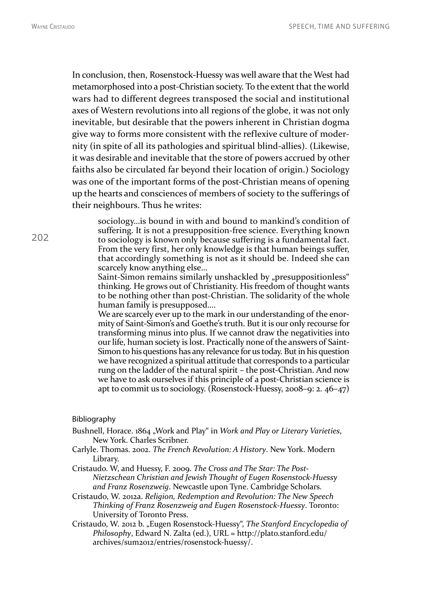202

In conclusion, then, Rosenstock-Huessy was well aware that the West had metamorphosed into a post-Christian society. To the extent that the world wars had to different degrees transposed the social and institutional axes of Western revolutions into all regions of the globe, it was not only inevitable, but desirable that the powers inherent in Christian dogma give way to forms more consistent with the reflexive culture of modernity (in spite of all its pathologies and spiritual blind-allies). (Likewise, it was desirable and inevitable that the store of powers accrued by other faiths also be circulated far beyond their location of origin.) Sociology was one of the important forms of the post-Christian means of opening up the hearts and consciences of members of society to the sufferings of their neighbours. Thus he writes:

sociology…is bound in with and bound to mankind's condition of suffering. It is not a presupposition-free science. Everything known to sociology is known only because suffering is a fundamental fact. From the very first, her only knowledge is that human beings suffer, that accordingly something is not as it should be. Indeed she can scarcely know anything else…

Saint-Simon remains similarly unshackled by "presuppositionless" thinking. He grows out of Christianity. His freedom of thought wants to be nothing other than post-Christian. The solidarity of the whole human family is presupposed….

We are scarcely ever up to the mark in our understanding of the enormity of Saint-Simon's and Goethe's truth. But it is our only recourse for transforming minus into plus. If we cannot draw the negativities into our life, human society is lost. Practically none of the answers of Saint-Simon to his questions has any relevance for us today. But in his question we have recognized a spiritual attitude that corresponds to a particular rung on the ladder of the natural spirit – the post-Christian. And now we have to ask ourselves if this principle of a post-Christian science is apt to commit us to sociology. (Rosenstock-Huessy, 2008–9: 2. 46–47)

#### Bibliography

- Bushnell, Horace. 1864 "Work and Play" in *Work and Play or Literary Varieties*, New York. Charles Scribner.
- Carlyle. Thomas. 2002. *The French Revolution: A History*. New York. Modern Library.
- Cristaudo. W, and Huessy, F. 2009. *The Cross and The Star: The Post-Nietzschean Christian and Jewish Thought of Eugen Rosenstock-Huessy and Franz Rosenzweig*. Newcastle upon Tyne. Cambridge Scholars.
- Cristaudo, W. 2012a. *Religion, Redemption and Revolution: The New Speech Thinking of Franz Rosenzweig and Eugen Rosenstock-Huessy*. Toronto: University of Toronto Press.
- Cristaudo, W. 2012 b. "Eugen Rosenstock-Huessy", *The Stanford Encyclopedia of Philosophy*, Edward N. Zalta (ed.), URL = http://plato.stanford.edu/ archives/sum2012/entries/rosenstock-huessy/.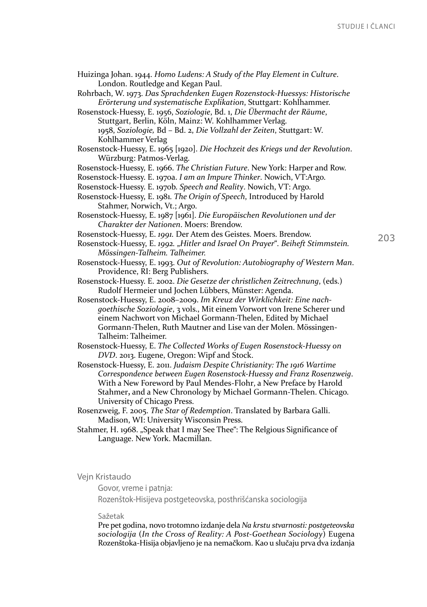| Huizinga Johan. 1944. Homo Ludens: A Study of the Play Element in Culture.     |     |
|--------------------------------------------------------------------------------|-----|
| London. Routledge and Kegan Paul.                                              |     |
| Rohrbach, W. 1973. Das Sprachdenken Eugen Rozenstock-Huessys: Historische      |     |
| Erörterung und systematische Explikation, Stuttgart: Kohlhammer.               |     |
| Rosenstock-Huessy, E. 1956, Soziologie, Bd. 1, Die Übermacht der Räume,        |     |
| Stuttgart, Berlin, Köln, Mainz: W. Kohlhammer Verlag.                          |     |
| 1958, Soziologie, Bd - Bd. 2, Die Vollzahl der Zeiten, Stuttgart: W.           |     |
| Kohlhammer Verlag                                                              |     |
| Rosenstock-Huessy, E. 1965 [1920]. Die Hochzeit des Kriegs und der Revolution. |     |
| Würzburg: Patmos-Verlag.                                                       |     |
| Rosenstock-Huessy, E. 1966. The Christian Future. New York: Harper and Row.    |     |
| Rosenstock-Huessy. E. 1970a. I am an Impure Thinker. Nowich, VT:Argo.          |     |
| Rosenstock-Huessy. E. 1970b. Speech and Reality. Nowich, VT: Argo.             |     |
| Rosenstock-Huessy, E. 1981. The Origin of Speech, Introduced by Harold         |     |
| Stahmer, Norwich, Vt.; Argo.                                                   |     |
| Rosenstock-Huessy, E. 1987 [1961]. Die Europäischen Revolutionen und der       |     |
| Charakter der Nationen. Moers: Brendow.                                        |     |
| Rosenstock-Huessy, E. 1991. Der Atem des Geistes. Moers. Brendow.              | 203 |
| Rosenstock-Huessy, E. 1992. "Hitler and Israel On Prayer". Beiheft Stimmstein. |     |
| Mössingen-Talheim. Talheimer.                                                  |     |
| Rosenstock-Huessy, E. 1993. Out of Revolution: Autobiography of Western Man.   |     |
| Providence, RI: Berg Publishers.                                               |     |
| Rosenstock-Huessy. E. 2002. Die Gesetze der christlichen Zeitrechnung, (eds.)  |     |
| Rudolf Hermeier und Jochen Lübbers, Münster: Agenda.                           |     |
| Rosenstock-Huessy, E. 2008-2009. Im Kreuz der Wirklichkeit: Eine nach-         |     |
| goethische Soziologie, 3 vols., Mit einem Vorwort von Irene Scherer und        |     |
| einem Nachwort von Michael Gormann-Thelen, Edited by Michael                   |     |
| Gormann-Thelen, Ruth Mautner and Lise van der Molen. Mössingen-                |     |
| Talheim: Talheimer.                                                            |     |
| Rosenstock-Huessy, E. The Collected Works of Eugen Rosenstock-Huessy on        |     |
| DVD. 2013. Eugene, Oregon: Wipf and Stock.                                     |     |
| Rosenstock-Huessy, E. 2011. Judaism Despite Christianity: The 1916 Wartime     |     |
| Correspondence between Eugen Rosenstock-Huessy and Franz Rosenzweig.           |     |
| With a New Foreword by Paul Mendes-Flohr, a New Preface by Harold              |     |
| Stahmer, and a New Chronology by Michael Gormann-Thelen. Chicago.              |     |

University of Chicago Press. Rosenzweig, F. 2005. *The Star of Redemption*. Translated by Barbara Galli. Madison, WI: University Wisconsin Press.

Stahmer, H. 1968. "Speak that I may See Thee": The Relgious Significance of Language. New York. Macmillan.

#### Vejn Kristaudo

Govor, vreme i patnja:

Rozenštok-Hisijeva postgeteovska, posthrišćanska sociologija

#### Sažetak

Pre pet godina, novo trotomno izdanje dela *Na krstu stvarnosti: postgeteovska sociologija* (*In the Cross of Reality: A Post-Goethean Sociology*) Eugena Rozenštoka-Hisija objavljeno je na nemačkom. Kao u slučaju prva dva izdanja